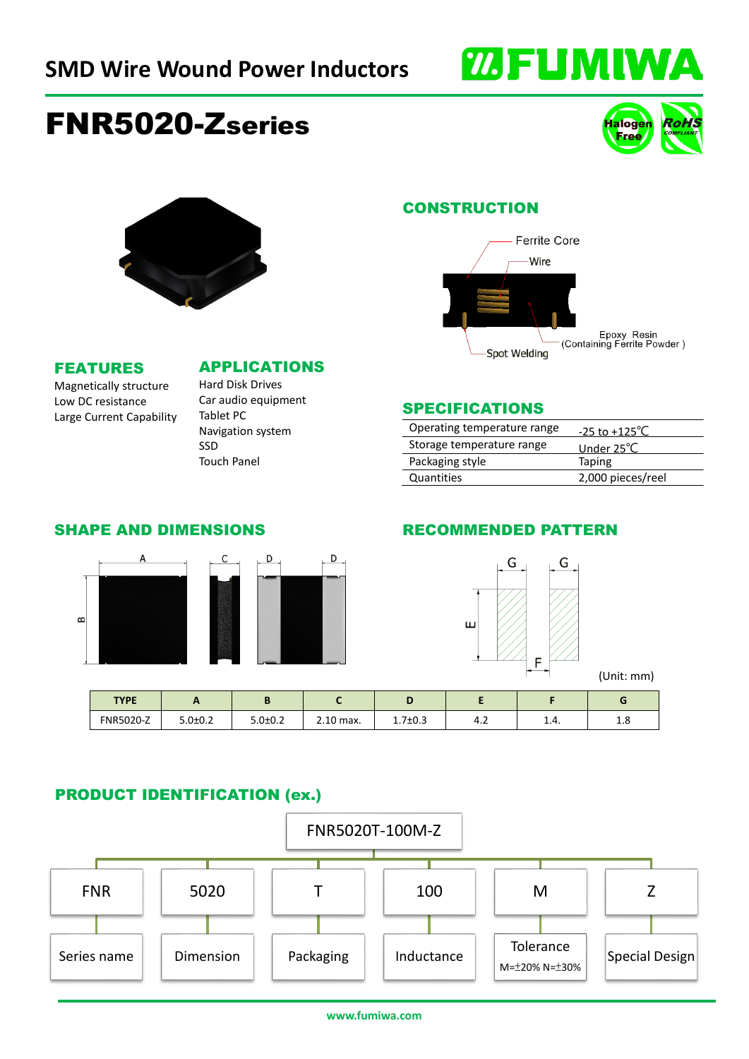# **WEUMIWA**

# FNR5020-Zseries





#### **CONSTRUCTION**



#### FEATURES

#### APPLICATIONS

Magnetically structure Low DC resistance Large Current Capability Hard Disk Drives Car audio equipment Tablet PC Navigation system SSD Touch Panel

#### SPECIFICATIONS

| Operating temperature range | $-25$ to $+125^{\circ}$ C |
|-----------------------------|---------------------------|
| Storage temperature range   | Under $25^{\circ}$ C      |
| Packaging style             | <b>Taping</b>             |
| Quantities                  | 2,000 pieces/reel         |

#### SHAPE AND DIMENSIONS



## RECOMMENDED PATTERN



### PRODUCT IDENTIFICATION (ex.)

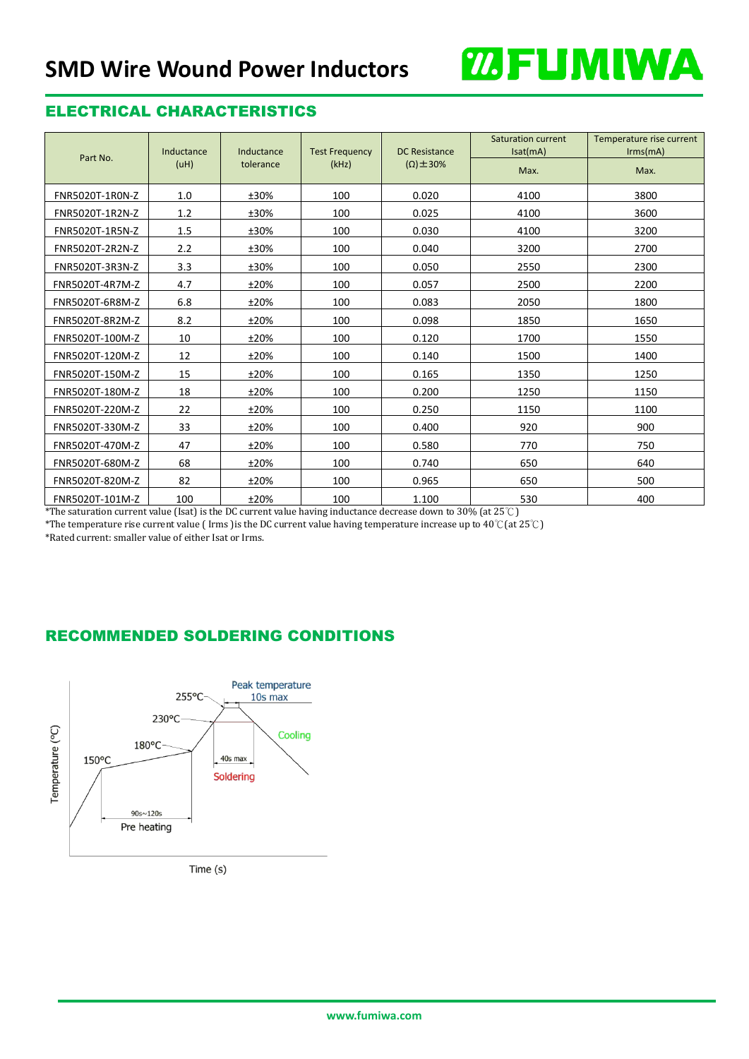

#### ELECTRICAL CHARACTERISTICS

| Part No.        | Inductance<br>(uH) | Inductance<br>tolerance | <b>Test Frequency</b><br>(kHz) | <b>DC Resistance</b><br>$(\Omega) \pm 30\%$ | <b>Saturation current</b><br>Isat(mA)<br>Max. | Temperature rise current<br>Irms(mA)<br>Max. |
|-----------------|--------------------|-------------------------|--------------------------------|---------------------------------------------|-----------------------------------------------|----------------------------------------------|
| FNR5020T-1R0N-Z | 1.0                | ±30%                    | 100                            | 0.020                                       | 4100                                          | 3800                                         |
| FNR5020T-1R2N-Z | 1.2                | ±30%                    | 100                            | 0.025                                       | 4100                                          | 3600                                         |
| FNR5020T-1R5N-Z | 1.5                | ±30%                    | 100                            | 0.030                                       | 4100                                          | 3200                                         |
| FNR5020T-2R2N-Z | 2.2                | ±30%                    | 100                            | 0.040                                       | 3200                                          | 2700                                         |
| FNR5020T-3R3N-Z | 3.3                | ±30%                    | 100                            | 0.050                                       | 2550                                          | 2300                                         |
| FNR5020T-4R7M-Z | 4.7                | ±20%                    | 100                            | 0.057                                       | 2500                                          | 2200                                         |
| FNR5020T-6R8M-Z | 6.8                | ±20%                    | 100                            | 0.083                                       | 2050                                          | 1800                                         |
| FNR5020T-8R2M-Z | 8.2                | ±20%                    | 100                            | 0.098                                       | 1850                                          | 1650                                         |
| FNR5020T-100M-Z | 10                 | ±20%                    | 100                            | 0.120                                       | 1700                                          | 1550                                         |
| FNR5020T-120M-Z | 12                 | ±20%                    | 100                            | 0.140                                       | 1500                                          | 1400                                         |
| FNR5020T-150M-Z | 15                 | ±20%                    | 100                            | 0.165                                       | 1350                                          | 1250                                         |
| FNR5020T-180M-Z | 18                 | ±20%                    | 100                            | 0.200                                       | 1250                                          | 1150                                         |
| FNR5020T-220M-Z | 22                 | ±20%                    | 100                            | 0.250                                       | 1150                                          | 1100                                         |
| FNR5020T-330M-Z | 33                 | ±20%                    | 100                            | 0.400                                       | 920                                           | 900                                          |
| FNR5020T-470M-Z | 47                 | ±20%                    | 100                            | 0.580                                       | 770                                           | 750                                          |
| FNR5020T-680M-Z | 68                 | ±20%                    | 100                            | 0.740                                       | 650                                           | 640                                          |
| FNR5020T-820M-Z | 82                 | ±20%                    | 100                            | 0.965                                       | 650                                           | 500                                          |
| FNR5020T-101M-Z | 100                | ±20%                    | 100                            | 1.100                                       | 530                                           | 400                                          |

\*The saturation current value (Isat) is the DC current value having inductance decrease down to 30% (at 25℃)

\*The temperature rise current value ( Irms )is the DC current value having temperature increase up to 40℃(at 25℃) \*Rated current: smaller value of either Isat or Irms.

# RECOMMENDED SOLDERING CONDITIONS